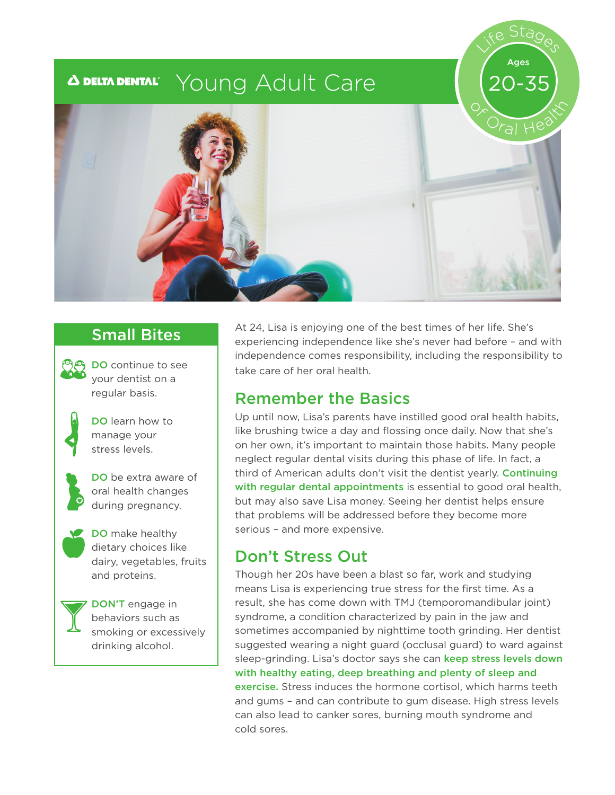#### Young Adult Care  $\boldsymbol{\Delta}$  delta dental $^{\circ}$



# Small Bites



DO continue to see your dentist on a regular basis.



DO learn how to manage your stress levels.



DO be extra aware of oral health changes during pregnancy.



DO make healthy dietary choices like dairy, vegetables, fruits and proteins.



DON'T engage in behaviors such as smoking or excessively drinking alcohol.

At 24, Lisa is enjoying one of the best times of her life. She's experiencing independence like she's never had before – and with independence comes responsibility, including the responsibility to take care of her oral health.

Life Stages

Ages

20-35

#### Remember the Basics

Up until now, Lisa's parents have instilled good oral health habits, like brushing twice a day and flossing once daily. Now that she's on her own, it's important to maintain those habits. Many people neglect regular dental visits during this phase of life. In fact, a third of American adults don't visit the dentist yearly. Continuing with regular dental appointments is essential to good oral health. but may also save Lisa money. Seeing her dentist helps ensure that problems will be addressed before they become more serious – and more expensive.

# Don't Stress Out

Though her 20s have been a blast so far, work and studying means Lisa is experiencing true stress for the first time. As a result, she has come down with TMJ (temporomandibular joint) syndrome, a condition characterized by pain in the jaw and sometimes accompanied by nighttime tooth grinding. Her dentist suggested wearing a night guard (occlusal guard) to ward against sleep-grinding. Lisa's doctor says she can keep stress levels down with healthy eating, deep breathing and plenty of sleep and exercise. Stress induces the hormone cortisol, which harms teeth and gums – and can contribute to gum disease. High stress levels can also lead to canker sores, burning mouth syndrome and cold sores.